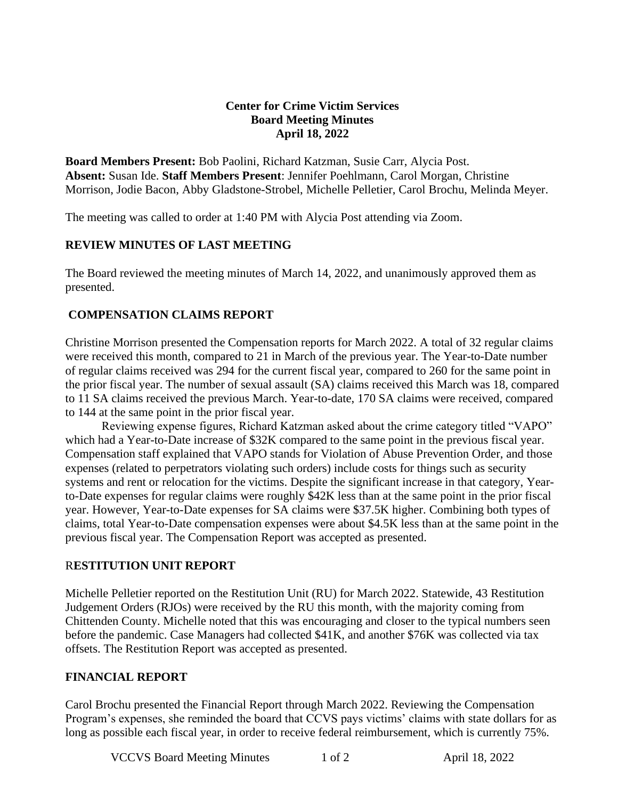### **Center for Crime Victim Services Board Meeting Minutes April 18, 2022**

**Board Members Present:** Bob Paolini, Richard Katzman, Susie Carr, Alycia Post. **Absent:** Susan Ide. **Staff Members Present**: Jennifer Poehlmann, Carol Morgan, Christine Morrison, Jodie Bacon, Abby Gladstone-Strobel, Michelle Pelletier, Carol Brochu, Melinda Meyer.

The meeting was called to order at 1:40 PM with Alycia Post attending via Zoom.

### **REVIEW MINUTES OF LAST MEETING**

The Board reviewed the meeting minutes of March 14, 2022, and unanimously approved them as presented.

### **COMPENSATION CLAIMS REPORT**

Christine Morrison presented the Compensation reports for March 2022. A total of 32 regular claims were received this month, compared to 21 in March of the previous year. The Year-to-Date number of regular claims received was 294 for the current fiscal year, compared to 260 for the same point in the prior fiscal year. The number of sexual assault (SA) claims received this March was 18, compared to 11 SA claims received the previous March. Year-to-date, 170 SA claims were received, compared to 144 at the same point in the prior fiscal year.

Reviewing expense figures, Richard Katzman asked about the crime category titled "VAPO" which had a Year-to-Date increase of \$32K compared to the same point in the previous fiscal year. Compensation staff explained that VAPO stands for Violation of Abuse Prevention Order, and those expenses (related to perpetrators violating such orders) include costs for things such as security systems and rent or relocation for the victims. Despite the significant increase in that category, Yearto-Date expenses for regular claims were roughly \$42K less than at the same point in the prior fiscal year. However, Year-to-Date expenses for SA claims were \$37.5K higher. Combining both types of claims, total Year-to-Date compensation expenses were about \$4.5K less than at the same point in the previous fiscal year. The Compensation Report was accepted as presented.

### R**ESTITUTION UNIT REPORT**

Michelle Pelletier reported on the Restitution Unit (RU) for March 2022. Statewide, 43 Restitution Judgement Orders (RJOs) were received by the RU this month, with the majority coming from Chittenden County. Michelle noted that this was encouraging and closer to the typical numbers seen before the pandemic. Case Managers had collected \$41K, and another \$76K was collected via tax offsets. The Restitution Report was accepted as presented.

## **FINANCIAL REPORT**

Carol Brochu presented the Financial Report through March 2022. Reviewing the Compensation Program's expenses, she reminded the board that CCVS pays victims' claims with state dollars for as long as possible each fiscal year, in order to receive federal reimbursement, which is currently 75%.